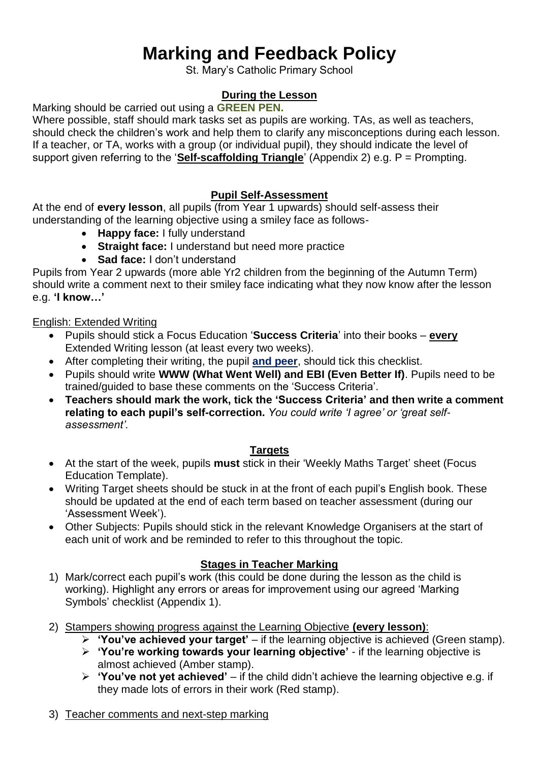## **Marking and Feedback Policy**

St. Mary's Catholic Primary School

## **During the Lesson**

Marking should be carried out using a **GREEN PEN.**

Where possible, staff should mark tasks set as pupils are working. TAs, as well as teachers, should check the children's work and help them to clarify any misconceptions during each lesson. If a teacher, or TA, works with a group (or individual pupil), they should indicate the level of support given referring to the '**Self-scaffolding Triangle**' (Appendix 2) e.g. P = Prompting.

### **Pupil Self-Assessment**

At the end of **every lesson**, all pupils (from Year 1 upwards) should self-assess their understanding of the learning objective using a smiley face as follows-

- **Happy face:** I fully understand
- **Straight face:** I understand but need more practice
- **Sad face:** I don't understand

Pupils from Year 2 upwards (more able Yr2 children from the beginning of the Autumn Term) should write a comment next to their smiley face indicating what they now know after the lesson e.g. **'I know…'**

#### English: Extended Writing

- Pupils should stick a Focus Education '**Success Criteria**' into their books **every** Extended Writing lesson (at least every two weeks).
- After completing their writing, the pupil **and peer**, should tick this checklist.
- Pupils should write **WWW (What Went Well) and EBI (Even Better If)**. Pupils need to be trained/guided to base these comments on the 'Success Criteria'.
- **Teachers should mark the work, tick the 'Success Criteria' and then write a comment relating to each pupil's self-correction.** *You could write 'I agree' or 'great selfassessment'.*

#### **Targets**

- At the start of the week, pupils **must** stick in their 'Weekly Maths Target' sheet (Focus Education Template).
- Writing Target sheets should be stuck in at the front of each pupil's English book. These should be updated at the end of each term based on teacher assessment (during our 'Assessment Week').
- Other Subjects: Pupils should stick in the relevant Knowledge Organisers at the start of each unit of work and be reminded to refer to this throughout the topic.

#### **Stages in Teacher Marking**

- 1) Mark/correct each pupil's work (this could be done during the lesson as the child is working). Highlight any errors or areas for improvement using our agreed 'Marking Symbols' checklist (Appendix 1).
- 2) Stampers showing progress against the Learning Objective **(every lesson)**:
	- **'You've achieved your target'** if the learning objective is achieved (Green stamp).
	- **'You're working towards your learning objective'** if the learning objective is almost achieved (Amber stamp).
	- **'You've not yet achieved'**  if the child didn't achieve the learning objective e.g. if they made lots of errors in their work (Red stamp).

#### 3) Teacher comments and next-step marking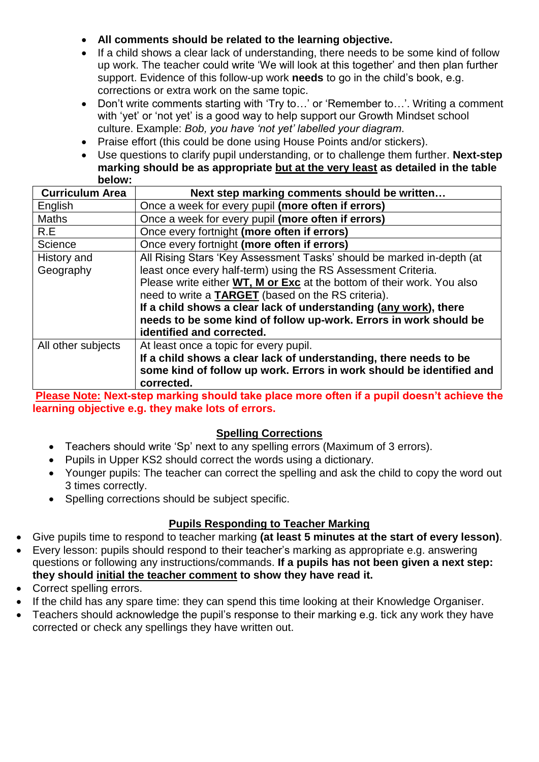- **All comments should be related to the learning objective.**
- If a child shows a clear lack of understanding, there needs to be some kind of follow up work. The teacher could write 'We will look at this together' and then plan further support. Evidence of this follow-up work **needs** to go in the child's book, e.g. corrections or extra work on the same topic.
- Don't write comments starting with 'Try to…' or 'Remember to…'. Writing a comment with 'yet' or 'not yet' is a good way to help support our Growth Mindset school culture. Example: *Bob, you have 'not yet' labelled your diagram*.
- Praise effort (this could be done using House Points and/or stickers).
- Use questions to clarify pupil understanding, or to challenge them further. **Next-step marking should be as appropriate but at the very least as detailed in the table below:**

| <b>Curriculum Area</b> | Next step marking comments should be written                                  |
|------------------------|-------------------------------------------------------------------------------|
| English                | Once a week for every pupil (more often if errors)                            |
| <b>Maths</b>           | Once a week for every pupil (more often if errors)                            |
| R.E                    | Once every fortnight (more often if errors)                                   |
| Science                | Once every fortnight (more often if errors)                                   |
| History and            | All Rising Stars 'Key Assessment Tasks' should be marked in-depth (at         |
| Geography              | least once every half-term) using the RS Assessment Criteria.                 |
|                        | Please write either <b>WT, M or Exc</b> at the bottom of their work. You also |
|                        | need to write a TARGET (based on the RS criteria).                            |
|                        | If a child shows a clear lack of understanding (any work), there              |
|                        | needs to be some kind of follow up-work. Errors in work should be             |
|                        | identified and corrected.                                                     |
| All other subjects     | At least once a topic for every pupil.                                        |
|                        | If a child shows a clear lack of understanding, there needs to be             |
|                        | some kind of follow up work. Errors in work should be identified and          |
|                        | corrected.                                                                    |

**Please Note: Next-step marking should take place more often if a pupil doesn't achieve the learning objective e.g. they make lots of errors.**

### **Spelling Corrections**

- Teachers should write 'Sp' next to any spelling errors (Maximum of 3 errors).
- Pupils in Upper KS2 should correct the words using a dictionary.
- Younger pupils: The teacher can correct the spelling and ask the child to copy the word out 3 times correctly.
- Spelling corrections should be subject specific.

## **Pupils Responding to Teacher Marking**

- Give pupils time to respond to teacher marking **(at least 5 minutes at the start of every lesson)**.
- Every lesson: pupils should respond to their teacher's marking as appropriate e.g. answering questions or following any instructions/commands. **If a pupils has not been given a next step: they should initial the teacher comment to show they have read it.**
- Correct spelling errors.
- If the child has any spare time: they can spend this time looking at their Knowledge Organiser.
- Teachers should acknowledge the pupil's response to their marking e.g. tick any work they have corrected or check any spellings they have written out.